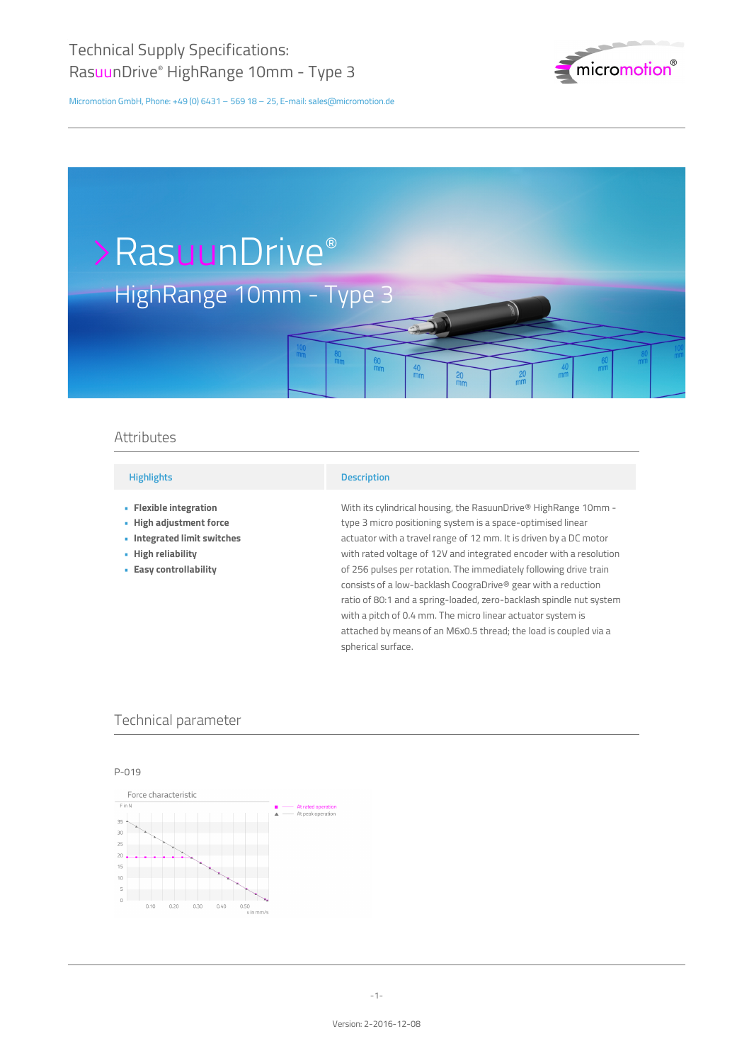

 $\vec{m}$ 

Micromotion GmbH, Phone: +49 (0) 6431 – 569 18 – 25, E-mail: sales@micromotion.de

# HighRange 10mm - Type 3 >RasuunDrive®

## Attributes

## **Highlights**

- **Flexible integration •**
- **High adjustment force •**
- **Integrated limit switches •**
- **High reliability •**
- **Easy controllability •**

#### **Description**

With its cylindrical housing, the RasuunDrive® HighRange 10mm type 3 micro positioning system is a space-optimised linear actuator with a travel range of 12 mm. It is driven by a DC motor with rated voltage of 12V and integrated encoder with a resolution of 256 pulses per rotation. The immediately following drive train consists of a low-backlash CoograDrive® gear with a reduction ratio of 80:1 and a spring-loaded, zero-backlash spindle nut system with a pitch of 0.4 mm. The micro linear actuator system is attached by means of an M6x0.5 thread; the load is coupled via a spherical surface.

 $\frac{20}{mn}$ 

## Technical parameter

## P-019

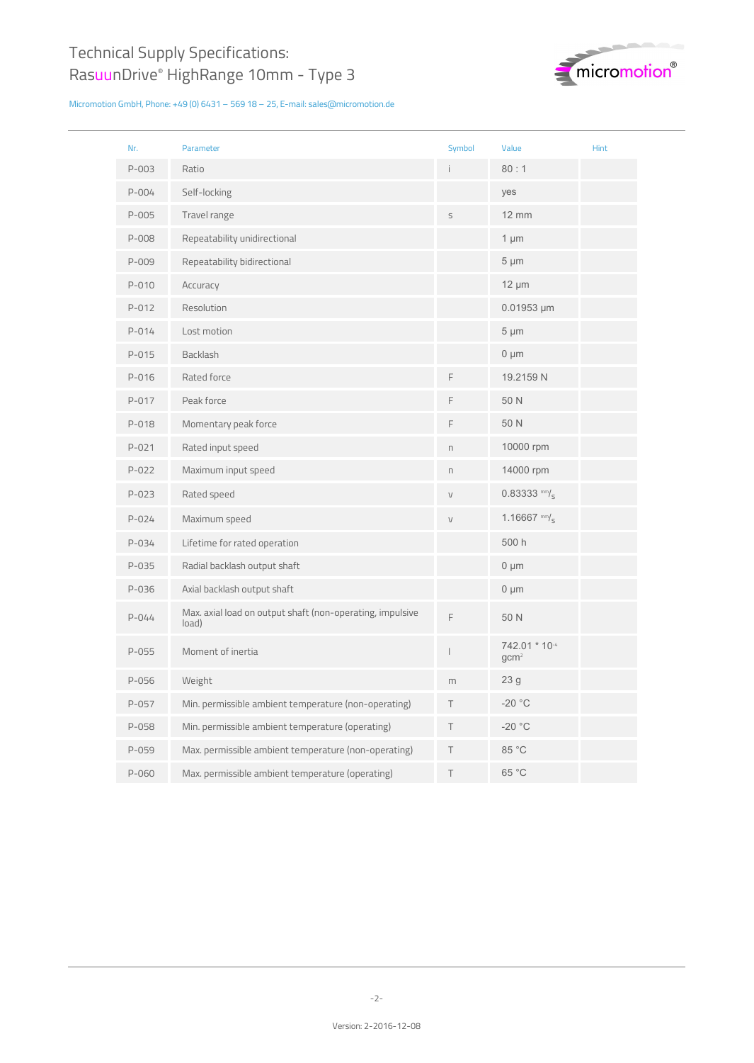

| Nr.       | Parameter                                                          | Symbol       | Value                             | <b>Hint</b> |
|-----------|--------------------------------------------------------------------|--------------|-----------------------------------|-------------|
| $P - 003$ | Ratio                                                              | i.           | 80:1                              |             |
| $P - 004$ | Self-locking                                                       |              | yes                               |             |
| P-005     | Travel range                                                       | S            | <b>12 mm</b>                      |             |
| P-008     | Repeatability unidirectional                                       |              | $1 \mu m$                         |             |
| P-009     | Repeatability bidirectional                                        |              | $5 \mu m$                         |             |
| P-010     | Accuracy                                                           |              | $12 \mu m$                        |             |
| $P - 012$ | Resolution                                                         |              | $0.01953 \mu m$                   |             |
| $P - 014$ | Lost motion                                                        |              | $5 \mu m$                         |             |
| $P - 015$ | Backlash                                                           |              | $0 \mu m$                         |             |
| P-016     | Rated force                                                        | F            | 19.2159 N                         |             |
| P-017     | Peak force                                                         | F            | 50 N                              |             |
| P-018     | Momentary peak force                                               | F            | 50 N                              |             |
| $P - 021$ | Rated input speed                                                  | $\Gamma$     | 10000 rpm                         |             |
| $P - 022$ | Maximum input speed                                                | $\Box$       | 14000 rpm                         |             |
| $P - 023$ | Rated speed                                                        | $\vee$       | $0.83333$ mm/ <sub>s</sub>        |             |
| $P - 024$ | Maximum speed                                                      | $\mathsf{V}$ | 1.16667 mm/ $_5$                  |             |
| P-034     | Lifetime for rated operation                                       |              | 500 h                             |             |
| P-035     | Radial backlash output shaft                                       |              | $0 \mu m$                         |             |
| P-036     | Axial backlash output shaft                                        |              | $0 \mu m$                         |             |
| $P - 044$ | Max. axial load on output shaft (non-operating, impulsive<br>load) | F            | 50 N                              |             |
| $P-055$   | Moment of inertia                                                  | I            | 742.01 * 10-4<br>gcm <sup>2</sup> |             |
| P-056     | Weight                                                             | m            | 23 <sub>g</sub>                   |             |
| P-057     | Min. permissible ambient temperature (non-operating)               | Τ            | $-20 °C$                          |             |
| P-058     | Min. permissible ambient temperature (operating)                   | Τ            | $-20$ °C                          |             |
| $P-059$   | Max. permissible ambient temperature (non-operating)               | Τ            | 85 °C                             |             |
| P-060     | Max. permissible ambient temperature (operating)                   | T            | 65 °C                             |             |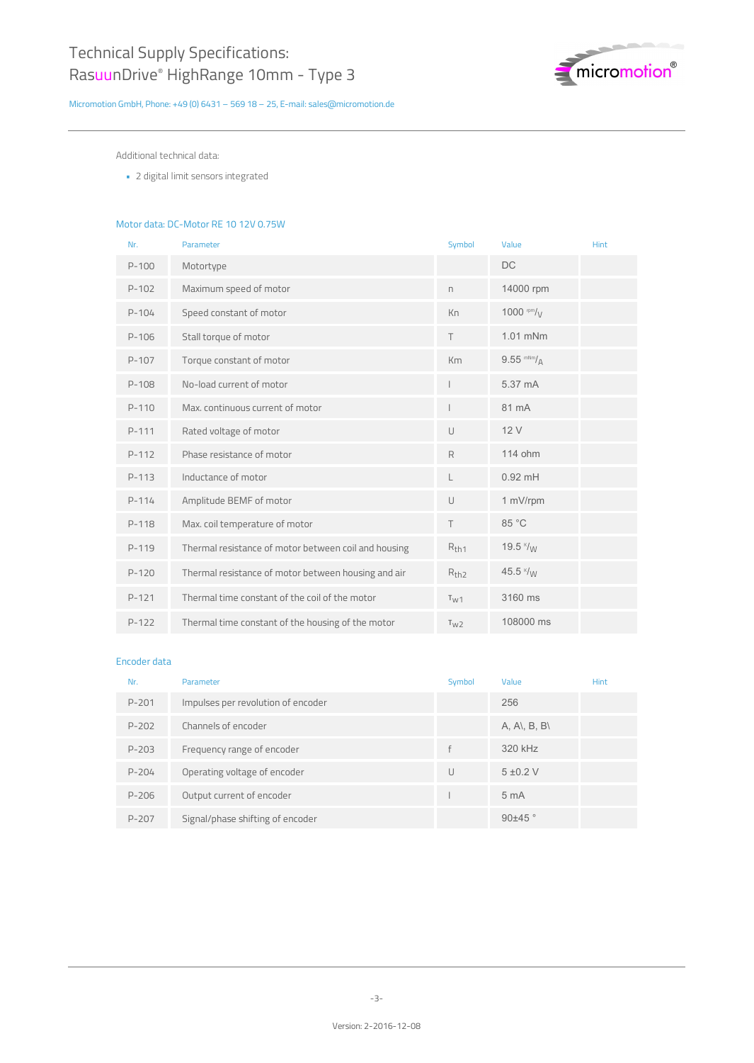

Additional technical data:

2 digital limit sensors integrated **•**

## Motor data: DC-Motor RE 10 12V 0.75W

| Nr.       | Parameter                                            | Symbol           | Value               | Hint |
|-----------|------------------------------------------------------|------------------|---------------------|------|
| $P-100$   | Motortype                                            |                  | <b>DC</b>           |      |
| $P-102$   | Maximum speed of motor                               | n.               | 14000 rpm           |      |
| $P-104$   | Speed constant of motor                              | Kn               | 1000 $\frac{mm}{V}$ |      |
| $P-106$   | Stall torque of motor                                | T                | 1.01 mNm            |      |
| $P-107$   | Torque constant of motor                             | Km               | $9.55$ mNm/ $_A$    |      |
| $P-108$   | No-load current of motor                             |                  | 5.37 mA             |      |
| $P-110$   | Max, continuous current of motor                     |                  | 81 mA               |      |
| $P-111$   | Rated voltage of motor                               | $\cup$           | 12V                 |      |
| $P-112$   | Phase resistance of motor                            | R                | 114 ohm             |      |
| $P-113$   | Inductance of motor                                  | L                | $0.92$ mH           |      |
| $P-114$   | Amplitude BEMF of motor                              | U                | 1 mV/rpm            |      |
| $P-118$   | Max. coil temperature of motor                       | T                | 85 °C               |      |
| $P-119$   | Thermal resistance of motor between coil and housing | $R_{th1}$        | 19.5 $\frac{k}{W}$  |      |
| $P - 120$ | Thermal resistance of motor between housing and air  | R <sub>th2</sub> | 45.5 $\frac{k}{M}$  |      |
| $P-121$   | Thermal time constant of the coil of the motor       | T <sub>W1</sub>  | 3160 ms             |      |
| $P-122$   | Thermal time constant of the housing of the motor    | T <sub>W2</sub>  | 108000 ms           |      |

#### Encoder data

| Nr.       | Parameter                          | Symbol | Value           | <b>Hint</b> |
|-----------|------------------------------------|--------|-----------------|-------------|
| $P - 201$ | Impulses per revolution of encoder |        | 256             |             |
| $P - 202$ | Channels of encoder                |        | A, A\, B, B\    |             |
| $P - 203$ | Frequency range of encoder         | f      | 320 kHz         |             |
| $P - 204$ | Operating voltage of encoder       | U      | $5 \pm 0.2$ V   |             |
| P-206     | Output current of encoder          |        | 5 <sub>mA</sub> |             |
| $P - 207$ | Signal/phase shifting of encoder   |        | $90\pm45$ °     |             |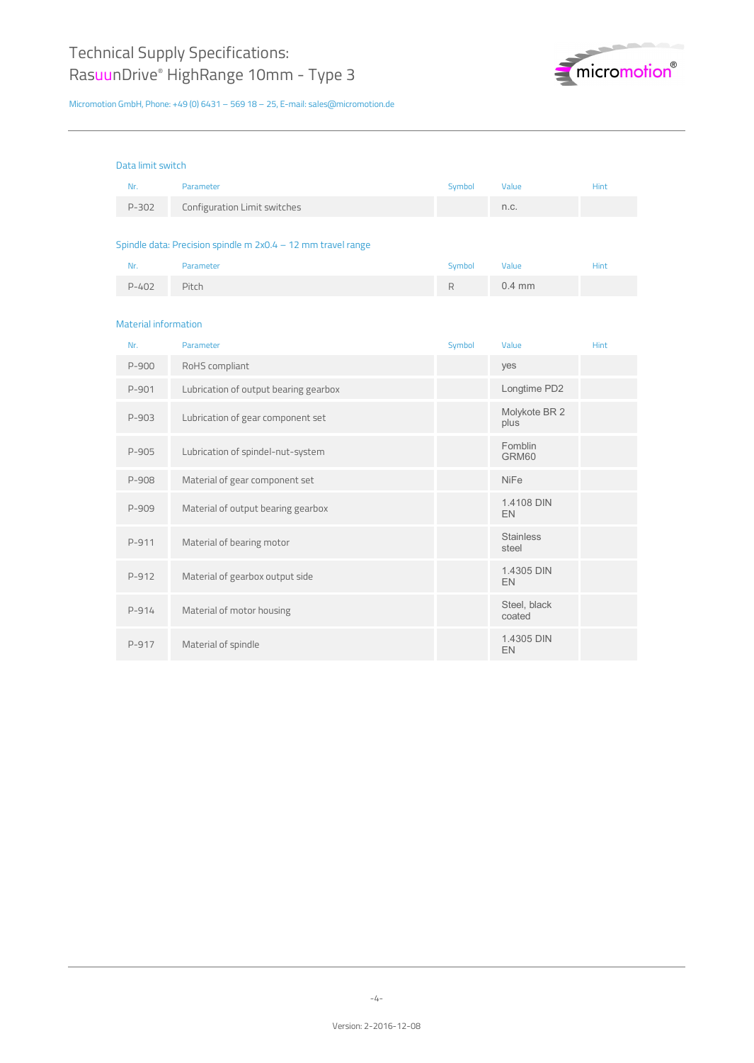

| Data limit switch                                            |                                       |        |                           |             |
|--------------------------------------------------------------|---------------------------------------|--------|---------------------------|-------------|
| Nr.                                                          | Parameter                             | Symbol | Value                     | <b>Hint</b> |
| $P - 302$                                                    | Configuration Limit switches          |        | n.c.                      |             |
|                                                              |                                       |        |                           |             |
| Spindle data: Precision spindle m 2x0.4 - 12 mm travel range |                                       |        |                           |             |
| Nr.                                                          | Parameter                             | Symbol | Value                     | <b>Hint</b> |
| $P - 402$                                                    | Pitch                                 | R      | $0.4$ mm                  |             |
|                                                              |                                       |        |                           |             |
| <b>Material information</b>                                  |                                       |        |                           |             |
| Nr.                                                          | Parameter                             | Symbol | Value                     | <b>Hint</b> |
| P-900                                                        | RoHS compliant                        |        | yes                       |             |
| P-901                                                        | Lubrication of output bearing gearbox |        | Longtime PD2              |             |
| P-903                                                        | Lubrication of gear component set     |        | Molykote BR 2<br>plus     |             |
| P-905                                                        | Lubrication of spindel-nut-system     |        | Fomblin<br>GRM60          |             |
| P-908                                                        | Material of gear component set        |        | <b>NiFe</b>               |             |
| P-909                                                        | Material of output bearing gearbox    |        | 1.4108 DIN<br>EN          |             |
| P-911                                                        | Material of bearing motor             |        | <b>Stainless</b><br>steel |             |
| P-912                                                        | Material of gearbox output side       |        | 1.4305 DIN<br>EN          |             |
| $P-914$                                                      | Material of motor housing             |        | Steel, black<br>coated    |             |
| P-917                                                        | Material of spindle                   |        | 1.4305 DIN<br>EN          |             |